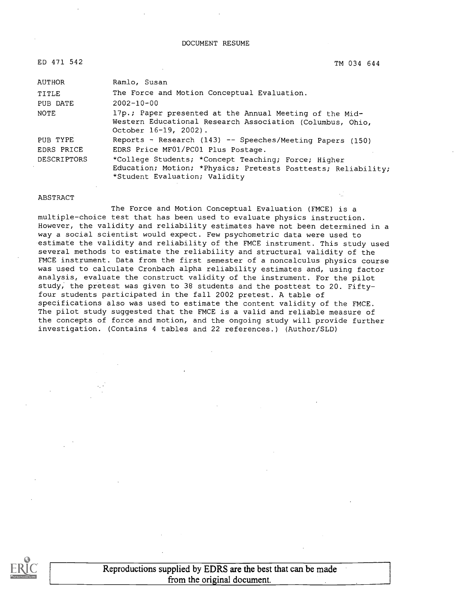#### DOCUMENT RESUME

| ED 471 542         | TM 034 644                                                                                                                                            |
|--------------------|-------------------------------------------------------------------------------------------------------------------------------------------------------|
| <b>AUTHOR</b>      | Ramlo, Susan                                                                                                                                          |
| TITLE              | The Force and Motion Conceptual Evaluation.                                                                                                           |
| PUB DATE           | $2002 - 10 - 00$                                                                                                                                      |
| NOTE               | 17p.; Paper presented at the Annual Meeting of the Mid-<br>Western Educational Research Association (Columbus, Ohio,<br>October 16-19, 2002).         |
| PUB TYPE           | Reports - Research (143) -- Speeches/Meeting Papers (150)                                                                                             |
| EDRS PRICE         | EDRS Price MF01/PC01 Plus Postage.                                                                                                                    |
| <b>DESCRIPTORS</b> | *College Students; *Concept Teaching; Force; Higher<br>Education; Motion; *Physics; Pretests Posttests; Reliability;<br>*Student Evaluation; Validity |

#### ABSTRACT

The Force and Motion Conceptual Evaluation (FMCE) is a multiple-choice test that has been used to evaluate physics instruction. However, the validity and reliability estimates have not been determined in a way a social scientist would expect. Few psychometric data were used to estimate the validity and reliability of the FMCE instrument. This study used several methods to estimate the reliability and structural validity of the FMCE instrument. Data from the first semester of a noncalculus physics course was used to calculate Cronbach alpha reliability estimates and, using factor analysis, evaluate the construct validity of the instrument. For the pilot study, the pretest was given to 38 students and the posttest to 20. Fiftyfour students participated in the fall 2002 pretest. A table of specifications also was used to estimate the content validity of the FMCE. The pilot study suggested that the FMCE is a valid and reliable measure of the concepts of force and motion, and the ongoing study will provide further investigation. (Contains 4 tables and 22 references.) (Author/SLD)



Reproductions supplied by EDRS are the best that can be made from the original document.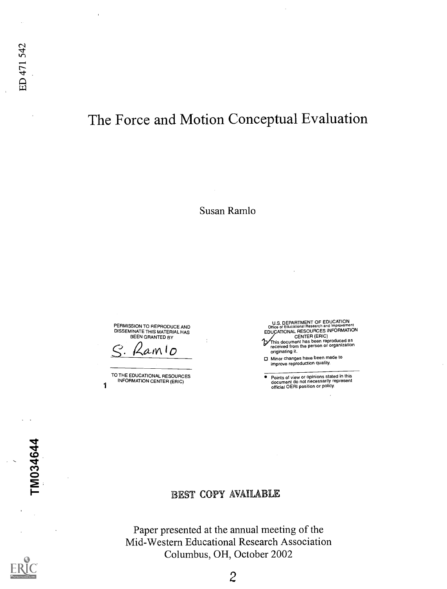# The Force and Motion Conceptual Evaluation

Susan Ramlo

PERMISSION TO REPRODUCE AND DISSEMINATE THIS MATERIAL HAS BEEN GRANTED BY

 $amlo$ 

TO THE EDUCATIONAL RESOURCES INFORMATION CENTER (ERIC) 1

U.S. DEPARTMENT OF EDUCATION<br>
CENTER (ERIC)<br>
CENTER (ERIC)<br>
This document has been reproduced as<br>
received from the person or organization<br>
originating it.

 $\bullet$ Points of view or opinions stated in this document do not necessarily represent official OERI position or policy.

TM034644

# EST COPY AVAILABLE

Paper presented at the annual meeting of the Mid-Western Educational Research Association Columbus, OH, October 2002

Minor changes have been made to improve reproduction quality.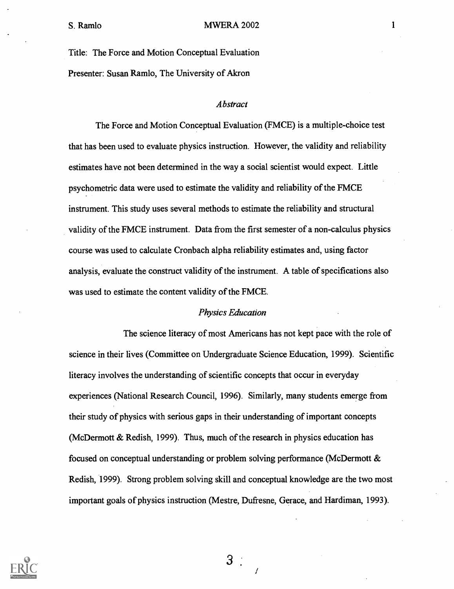Title: The Force and Motion Conceptual Evaluation Presenter: Susan Ramlo, The University of Akron

### Abstract

The Force and Motion Conceptual Evaluation (FMCE) is a multiple-choice test that has been used to evaluate physics instruction. However, the validity and reliability estimates have not been determined in the way a social scientist would expect. Little psychometric data were used to estimate the validity and reliability of the FMCE instrument. This study uses several methods to estimate the reliability and structural validity of the FMCE instrument. Data from the first semester of a non-calculus physics course was used to calculate Cronbach alpha reliability estimates and, using factor analysis, evaluate the construct validity of the instrument. A table of specifications also was used to estimate the content validity of the FMCE.

### Physics Education

The science literacy of most Americans has not kept pace with the role of science in their lives (Committee on Undergraduate Science Education, 1999). Scientific literacy involves the understanding of scientific concepts that occur in everyday experiences (National Research Council, 1996). Similarly, many students emerge from their study of physics with serious gaps in their understanding of important concepts (McDermott & Redish, 1999). Thus, much of the research in physics education has focused on conceptual understanding or problem solving performance (McDermott & Redish, 1999). Strong problem solving skill and conceptual knowledge are the two most important goals of physics instruction (Mestre, Dufresne, Gerace, and Hardiman, 1993).

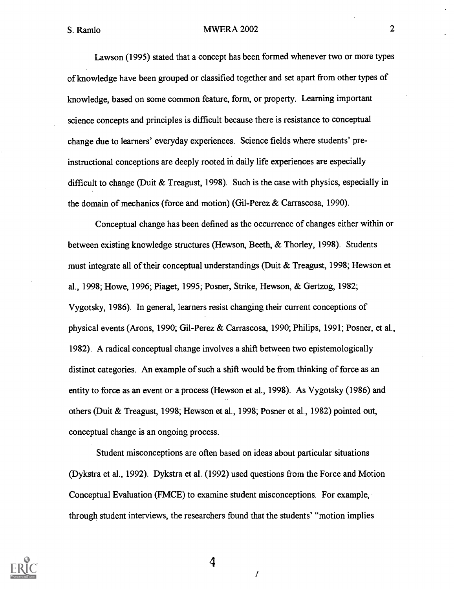Lawson (1995) stated that a concept has been formed whenever two or more types of knowledge have been grouped or classified together and set apart from other types of knowledge, based on some common feature, form, or property. Learning important science concepts and principles is difficult because there is resistance to conceptual change due to learners' everyday experiences. Science fields where students' preinstructional conceptions are deeply rooted in daily life experiences are especially difficult to change (Duit & Treagust, 1998). Such is the case with physics, especially in the domain of mechanics (force and motion) (Gil-Perez & Carrascosa, 1990).

Conceptual change has been defined as the occurrence of changes either within or between existing knowledge structures (Hewson, Beeth, & Thorley, 1998). Students must integrate all of their conceptual understandings (Duit & Treagust, 1998; Hewson et al., 1998; Howe, 1996; Piaget, 1995; Posner, Strike, Hewson, & Gertzog, 1982; Vygotsky, 1986). In general, learners resist changing their current conceptions of physical events (Arons, 1990; Gil-Perez & Carrascosa, 1990; Philips, 1991; Posner, et al., 1982). A radical conceptual change involves a shift between two epistemologically distinct categories. An example of such a shift would be from thinking of force as an entity to force as an event or a process (Hewson et al., 1998). As Vygotsky (1986) and others (Duit & Treagust, 1998; Hewson et al., 1998; Posner et al., 1982) pointed out, conceptual change is an ongoing process.

Student misconceptions are often based on ideas about particular situations (Dykstra et al., 1992). Dykstra et al. (1992) used questions from the Force and Motion Conceptual Evaluation (FMCE) to examine student misconceptions. For example, through student interviews, the researchers found that the students' "motion implies

1

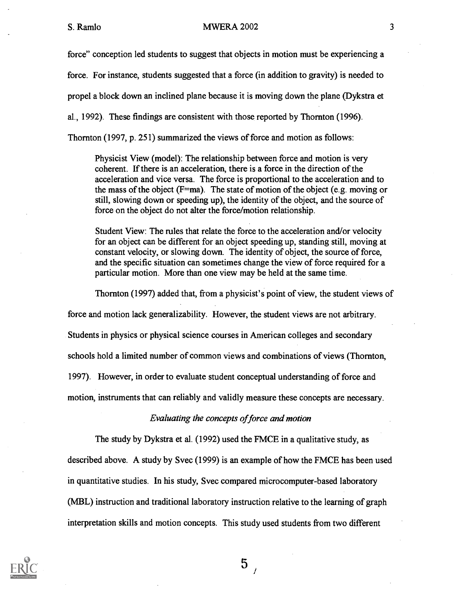force" conception led students to suggest that objects in motion must be experiencing a

force. For instance, students suggested that a force (in addition to gravity) is needed to

propel a block down an inclined plane because it is moving down the plane (Dykstra et

al., 1992). These findings are consistent with those reported by Thornton (1996).

Thornton (1997, p. 251) summarized the views of force and motion as follows:

Physicist View (model): The relationship between force and motion is very coherent. If there is an acceleration, there is a force in the direction of the acceleration and vice versa. The force is proportional to the acceleration and to the mass of the object ( $F=ma$ ). The state of motion of the object (e.g. moving or still, slowing down or speeding up), the identity of the object, and the source of force on the object do not alter the force/motion relationship.

Student View: The rules that relate the force to the acceleration and/or velocity for an object can be different for an object speeding up, standing still, moving at constant velocity, or slowing down. The identity of object, the source of force, and the specific situation can sometimes change the view of force required for a particular motion. More than one view may be held at the same time.

Thornton (1997) added that, from a physicist's point of view, the student views of

force and motion lack generalizability. However, the student views are not arbitrary.

Students in physics or physical science courses in American colleges and secondary

schools hold a limited number of common views and combinations of views (Thornton,

1997). However, in order to evaluate student conceptual understanding of force and

motion, instruments that can reliably and validly measure these concepts are necessary.

# Evaluating the concepts of force and motion

The study by Dykstra et al. (1992) used the FMCE in a qualitative study, as

described above. A study by Svec (1999) is an example of how the FMCE has been used in quantitative studies. In his study, Svec compared microcomputer-based laboratory (MBL) instruction and traditional laboratory instruction relative to the learning of graph interpretation skills and motion concepts. This study used students from two different

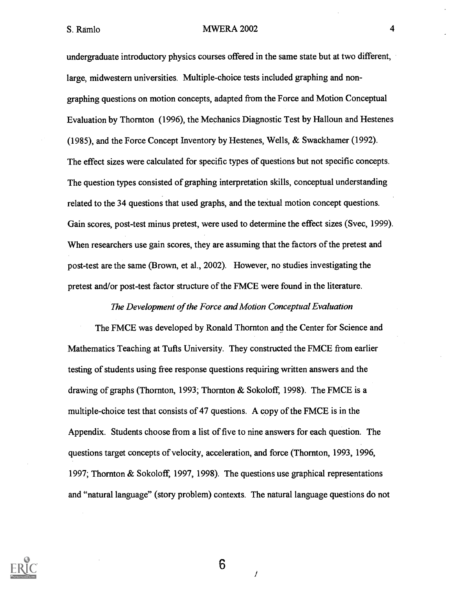undergraduate introductory physics courses offered in the same state but at two different, large, midwestern universities. Multiple-choice tests included graphing and nongraphing questions on motion concepts, adapted from the Force and Motion Conceptual Evaluation by Thornton (1996), the Mechanics Diagnostic Test by Halloun and Hestenes (1985), and the Force Concept Inventory by Hestenes, Wells, & Swackhamer (1992). The effect sizes were calculated for specific types of questions but not specific concepts. The question types consisted of graphing interpretation skills, conceptual understanding related to the 34 questions that used graphs, and the textual motion concept questions. Gain scores, post-test minus pretest, were used to determine the effect sizes (Svec, 1999). When researchers use gain scores, they are assuming that the factors of the pretest and post-test are the same (Brown, et al., 2002). However, no studies investigating the pretest and/or post-test factor structure of the FMCE were found in the literature.

The Development of the Force and Motion Conceptual Evaluation

The FMCE was developed by Ronald Thornton and the Center for Science and Mathematics Teaching at Tufts University. They constructed the FMCE from earlier testing of students using free response questions requiring written answers and the drawing of graphs (Thornton, 1993; Thornton & Sokoloff, 1998). The FMCE is a multiple-choice test that consists of 47 questions. A copy of the FMCE is in the Appendix. Students choose from a list of five to nine answers for each question. The questions target concepts of velocity, acceleration, and force (Thornton, 1993, 1996, 1997; Thornton & Sokoloff, 1997, 1998). The questions use graphical representations and "natural language" (story problem) contexts. The natural language questions do not

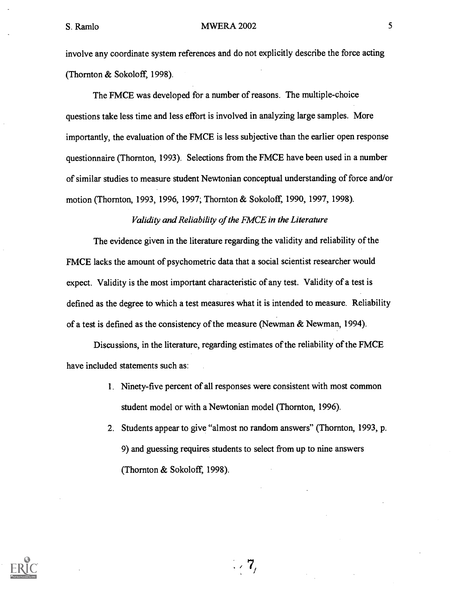involve any coordinate system references and do not explicitly describe the force acting (Thornton & Sokoloff, 1998).

The FMCE was developed for a number of reasons. The multiple-choice questions take less time and less effort is involved in analyzing large samples. More importantly, the evaluation of the FMCE is less subjective than the earlier open response questionnaire (Thornton, 1993). Selections from the FMCE have been used in a number of similar studies to measure student Newtonian conceptual understanding of force and/or motion (Thornton, 1993, 1996, 1997; Thornton & Sokoloff, 1990, 1997, 1998).

# Validity and Reliability of the FMCE in the Literature

The evidence given in the literature regarding the validity and reliability of the FMCE lacks the amount of psychometric data that a social scientist researcher would expect. Validity is the most important characteristic of any test. Validity of a test is defined as the degree to which a test measures what it is intended to measure. Reliability of a test is defined as the consistency of the measure (Newman & Newman, 1994).

Discussions, in the literature, regarding estimates of the reliability of the FMCE have included statements such as:

- 1. Ninety-five percent of all responses were consistent with most common student model or with a Newtonian model (Thornton, 1996).
- 2. Students appear to give "almost no random answers" (Thornton, 1993, p. 9) and guessing requires students to select from up to nine answers (Thornton & Sokoloff, 1998).

 $\mathbb{Z}/7$ 

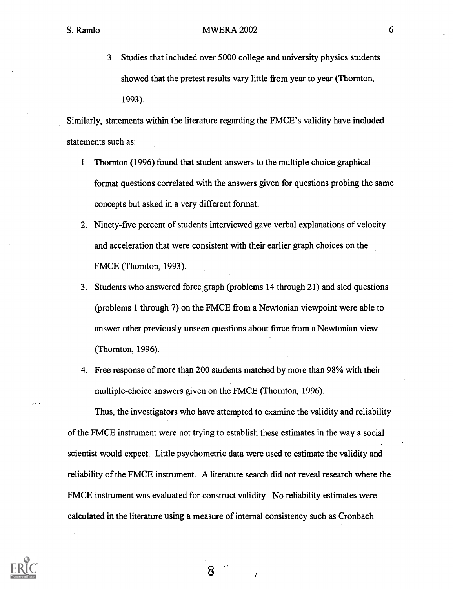3. Studies that included over 5000 college and university physics students showed that the pretest results vary little from year to year (Thornton, 1993).

Similarly, statements within the literature regarding the FMCE's validity have included statements such as:

- 1. Thornton (1996) found that student answers to the multiple choice graphical format questions correlated with the answers given for questions probing the same concepts but asked in a very different format.
- 2. Ninety-five percent of students interviewed gave verbal explanations of velocity and acceleration that were consistent with their earlier graph choices on the FMCE (Thornton, 1993).
- 3. Students who answered force graph (problems 14 through 21) and sled questions (problems 1 through 7) on the FMCE from a Newtonian viewpoint were able to answer other previously unseen questions about force from a Newtonian view (Thornton, 1996).
- 4. Free response of more than 200 students matched by more than 98% with their multiple-choice answers given on the FMCE (Thornton, 1996).

Thus, the investigators who have attempted to examine the validity and reliability of the FMCE instrument were not trying to establish these estimates in the way a social scientist would expect. Little psychometric data were used to estimate the validity and reliability of the FMCE instrument. A literature search did not reveal research where the FMCE instrument was evaluated for construct validity. No reliability estimates were calculated in the literature using a measure of internal consistency such as Cronbach

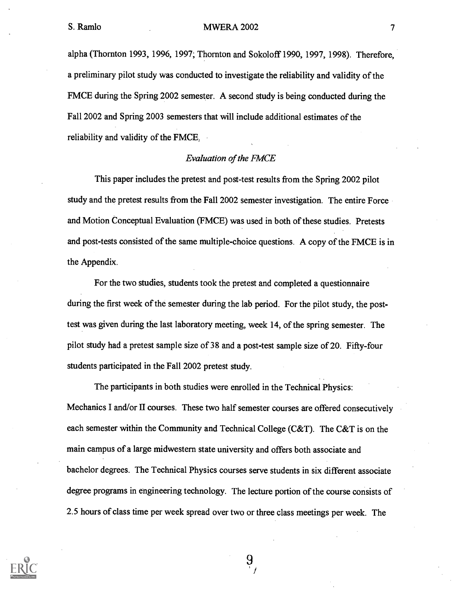alpha (Thornton 1993, 1996, 1997; Thornton and Sokoloff 1990, 1997, 1998). Therefore, a preliminary pilot study was conducted to investigate the reliability and validity of the FMCE during the Spring 2002 semester. A second study is being conducted during the Fall 2002 and Spring 2003 semesters that will include additional estimates of the reliability and validity of the FMCE,

# Evaluation of the FMCE

This paper includes the pretest and post-test results from the Spring 2002 pilot study and the pretest results from the Fall 2002 semester investigation. The entire Force and Motion Conceptual Evaluation (FMCE) was used in both of these studies. Pretests and post-tests consisted of the same multiple-choice questions. A copy of the FMCE is in the Appendix.

For the two studies, students took the pretest and completed a questionnaire during the first week of the semester during the lab period. For the pilot study, the posttest was given during the last laboratory meeting, week 14, of the spring semester. The pilot study had a pretest sample size of 38 and a post-test sample size of 20. Fifty-four students participated in the Fall 2002 pretest study.

The participants in both studies were enrolled in the Technical Physics: Mechanics I and/or II courses. These two half semester courses are offered consecutively each semester within the Community and Technical College (C&T). The C&T is on the main campus of a large midwestern state university and offers both associate and bachelor degrees. The Technical Physics courses serve students in six different associate degree programs in engineering technology. The lecture portion of the course consists of 2.5 hours of class time per week spread over two or three class meetings per week. The

 $9\overline{)}$ 

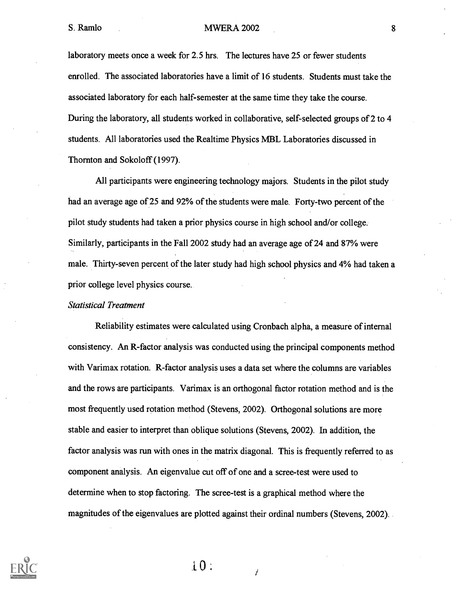### S. Ramlo 8 MWERA 2002

laboratory meets once a week for 2.5 hrs. The lectures have 25 or fewer students enrolled. The associated laboratories have a limit of 16 students. Students must take the associated laboratory for each half-semester at the same time they take the course. During the laboratory, all students worked in collaborative, self-selected groups of 2 to 4 students. All laboratories used the Realtime Physics MBL Laboratories discussed in Thornton and Sokoloff (1997).

All participants were engineering technology majors. Students in the pilot study had an average age of 25 and 92% of the students were male. Forty-two percent of the pilot study students had taken a prior physics course in high school and/or college. Similarly, participants in the Fall 2002 study had an average age of 24 and 87% were male. Thirty-seven percent of the later study had high school physics and 4% had taken a prior college level physics course.

### Statistical Treatment

Reliability estimates were calculated using Cronbach alpha, a measure of internal consistency. An R-factor analysis was conducted using the principal components method with Varimax rotation. R-factor analysis uses a data set where the columns are variables and the rows are participants. Varimax is an orthogonal factor rotation method and is the most frequently used rotation method (Stevens, 2002). Orthogonal solutions are more stable and easier to interpret than oblique solutions (Stevens, 2002). In addition, the factor analysis was run with ones in the matrix diagonal. This is frequently referred to as component analysis. An eigenvalue cut off of one and a scree-test were used to determine when to stop factoring. The scree-test is a graphical method where the magnitudes of the eigenvalues are plotted against their ordinal numbers (Stevens, 2002).



 $10:$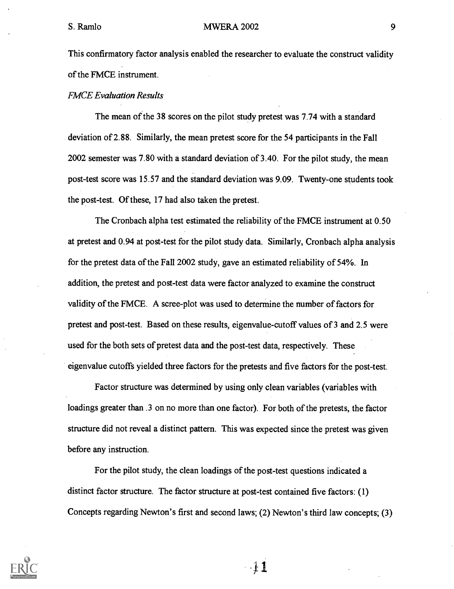This confirmatory factor analysis enabled the researcher to evaluate the construct validity of the FMCE instrument.

### FMCE Evaluation Results

The mean of the 38 scores on the pilot study pretest was 7.74 with a standard deviation of 2.88. Similarly, the mean pretest score for the 54 participants in the Fall 2002 semester was 7.80 with a standard deviation of 3.40. For the pilot study, the mean post-test score was 15.57 and the standard deviation was 9.09. Twenty-one students took the post-test. Of these, 17 had also taken the pretest.

The Cronbach alpha test estimated the reliability of the FMCE instrument at 0.50 at pretest and 0.94 at post-test for the pilot study data. Similarly, Cronbach alpha analysis for the pretest data of the Fall 2002 study, gave an estimated reliability of 54%. In addition, the pretest and post-test data were factor analyzed to examine the construct validity of the FMCE. A scree-plot was used to determine the number of factors for pretest and post-test. Based on these results, eigenvalue-cutoff values of 3 and 2.5 were used for the both sets of pretest data and the post-test data, respectively. These eigenvalue cutoffs yielded three factors for the pretests and five factors for the post-test.

Factor structure was determined by using only clean variables (variables with loadings greater than .3 on no more than one factor). For both of the pretests, the factor structure did not reveal a distinct pattern. This was expected since the pretest was given before any instruction.

For the pilot study, the clean loadings of the post-test questions indicated a distinct factor structure. The factor structure at post-test contained five factors: (1) Concepts regarding Newton's first and second laws; (2) Newton's third law concepts; (3)



 $\cdot 11$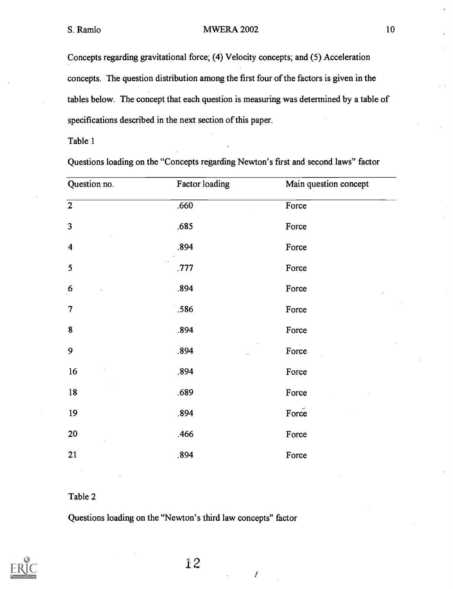Concepts regarding gravitational force; (4) Velocity concepts; and (5) Acceleration concepts. The question distribution among the first four of the factors is given in the tables below. The concept that each question is measuring was determined by a table of specifications described in the next section of this paper.

Table 1

Questions loading on the "Concepts regarding Newton's first and second laws" factor

| Question no.            | Factor loading | Main question concept |
|-------------------------|----------------|-----------------------|
| $\overline{2}$          | .660<br>Force  |                       |
| $\overline{\mathbf{3}}$ | .685           | Force                 |
| $\overline{\mathbf{4}}$ | .894           | Force                 |
| 5                       | .777           | Force                 |
| 6                       | .894           | Force                 |
| $\overline{7}$          | .586           | Force                 |
| $\bf{8}$                | .894           | Force                 |
| 9                       | .894           | Force                 |
| 16                      | .894<br>Force  |                       |
| $18\,$                  | .689<br>Force  |                       |
| 19                      | .894           | Force                 |
| $20\,$                  | .466           | Force                 |
| 21                      | .894<br>Force  |                       |
|                         |                |                       |

# Table 2

Questions loading on the "Newton's third law concepts" factor



 $\boldsymbol{I}$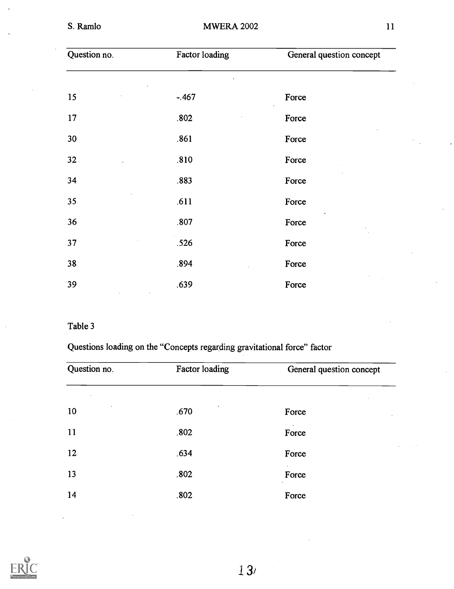| Question no. | Factor loading | General question concept |  |
|--------------|----------------|--------------------------|--|
|              |                |                          |  |
| 15           | $-.467$        | Force                    |  |
| 17           | .802           | Force                    |  |
| 30           | .861           | Force                    |  |
| 32           | .810           | Force                    |  |
| 34           | .883           | Force                    |  |
| 35           | .611           | Force                    |  |
| 36           | .807           | Force                    |  |
| 37           | .526           | Force                    |  |
| 38           | .894           | Force                    |  |
| 39           | .639           | Force                    |  |

# Table 3

Questions loading on the "Concepts regarding gravitational force" factor

| Question no. | Factor loading | General question concept |  |
|--------------|----------------|--------------------------|--|
|              |                |                          |  |
| 10           | .670           | Force                    |  |
| 11           | .802           | Force                    |  |
| 12           | .634           | $\cdot$<br>Force         |  |
| 13           | .802           | Force                    |  |
| 14           | .802           | Force                    |  |



13/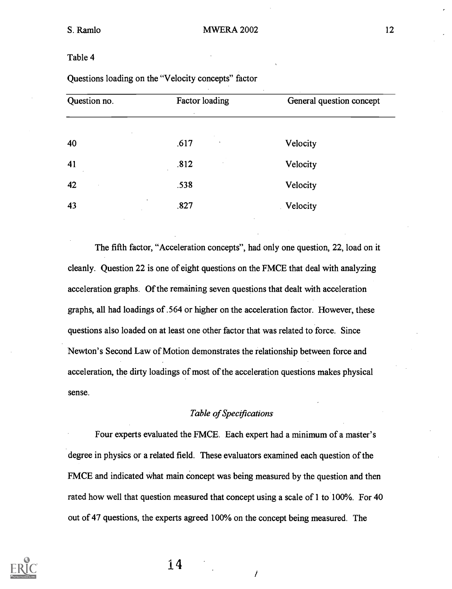# Table 4

| Question no. | Factor loading<br>$\epsilon$ | General question concept |
|--------------|------------------------------|--------------------------|
| 40           | .617<br>$\,$                 | Velocity                 |
| 41           | .812                         | Velocity                 |
| 42           | .538                         | Velocity                 |
| 43           | ٠<br>.827                    | Velocity                 |

Questions loading on the "Velocity concepts" factor

The fifth factor, "Acceleration concepts", had only one question, 22, load on it cleanly. Question 22 is one of eight questions on the FMCE that deal with analyzing acceleration graphs. Of the remaining seven questions that dealt with acceleration graphs, all had loadings of .564 or higher on the acceleration factor. However, these questions also loaded on at least one other factor that was related to force. Since Newton's Second Law of Motion demonstrates the relationship between force and acceleration, the dirty loadings of most of the acceleration questions makes physical sense.

# Table of Specifications

Four experts evaluated the FMCE. Each expert had a minimum of a master's degree in physics or a related field. These evaluators examined each question of the FMCE and indicated what main concept was being measured by the question and then rated how well that question measured that concept using a scale of 1 to 100%. For 40 out of 47 questions, the experts agreed 100% on the concept being measured. The



14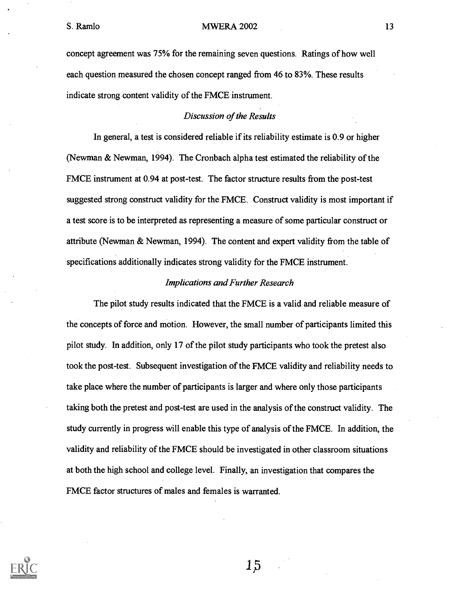concept agreement was 75% for the remaining seven questions. Ratings of how well each question measured the chosen concept ranged from 46 to 83%. These results indicate strong content validity of the FMCE instrument.

# Discussion of the Results

In general, a test is considered reliable if its reliability estimate is 0.9 or higher (Newman & Newman, 1994). The Cronbach alpha test estimated the reliability of the FMCE instrument at 0.94 at post-test. The factor structure results from the post-test suggested strong construct validity for the FMCE. Construct validity is most important if a test score is to be interpreted as representing a measure of some particular construct or attribute (Newman & Newman, 1994). The content and expert validity from the table of specifications additionally indicates strong validity for the FMCE instrument.

### Implications and Further Research

The pilot study results indicated that the FMCE is a valid and reliable measure of the concepts of force and motion. However, the small number of participants limited this pilot study. In addition, only 17 of the pilot study participants who took the pretest also took the post-test. Subsequent investigation of the FMCE validity and reliability needs to take place where the number of participants is larger and where only those participants taking both the pretest and post-test are used in the analysis of the construct validity. The study currently in progress will enable this type of analysis of the FMCE. In addition, the validity and reliability of the FMCE should be investigated in other classroom situations at both the high school and college level. Finally, an investigation that compares the FMCE factor structures of males and females is warranted.

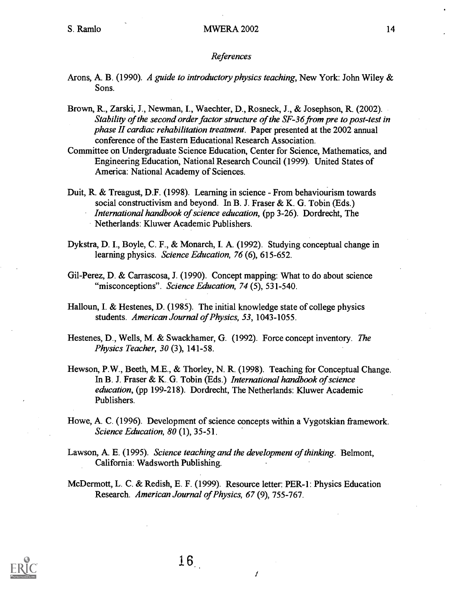#### References

- Arons, A. B. (1990). A guide to introductory physics teaching, New York: John Wiley & Sons.
- Brown, R., Zarski, J., Newman, I., Waechter, D., Rosneck, J., & Josephson, R. (2002). Stability of the second order factor structure of the SF-36 from pre to post-test in phase II cardiac rehabilitation treatment. Paper presented at the 2002 annual conference of the Eastern Educational Research Association.
- Committee on Undergraduate Science Education, Center for Science, Mathematics, and Engineering Education, National Research Council (1999). United States of America: National Academy of Sciences.
- Duit, R. & Treagust, D.F. (1998). Learning in science From behaviourism towards social constructivism and beyond. In B. J. Fraser & K. G. Tobin (Eds.) International handbook of science education, (pp 3-26). Dordrecht, The Netherlands: Kluwer Academic Publishers.
- Dykstra, D. I., Boyle, C. F., & Monarch, I. A. (1992). Studying conceptual change in learning physics. Science Education, 76 (6), 615-652.
- Gil-Perez, D. & Carrascosa, J. (1990). Concept mapping: What to do about science "misconceptions". Science Education, 74 (5), 531-540.
- Halloun, I. & Hestenes, D. (1985). The initial knowledge state of college physics students. American Journal of Physics, 53, 1043-1055.
- Hestenes, D., Wells, M. & Swackhamer, G. (1992). Force concept inventory. The Physics Teacher, 30 (3), 141-58.
- Hewson, P.W., Beeth, M.E., & Thorley, N. R. (1998). Teaching for Conceptual Change. In B. J. Fraser & K. G. Tobin (Eds.) International handbook of science education, (pp 199-218). Dordrecht, The Netherlands: Kluwer Academic Publishers.
- Howe, A. C. (1996). Development of science concepts within a Vygotskian framework. Science Education, 80 (1), 35-51.
- Lawson, A. E. (1995). Science teaching and the development of thinking. Belmont, California: Wadsworth Publishing.
- McDermott, L. C. & Redish, E. F. (1999). Resource letter: PER-1: Physics Education Research. American Journal of Physics, 67 (9), 755-767.

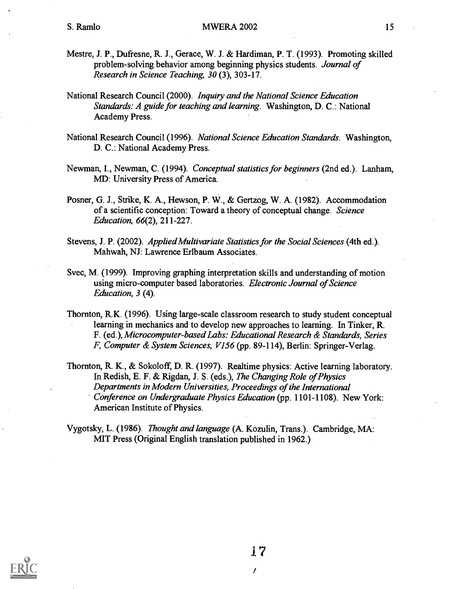- Mestre, J. P., Dufresne, R. J., Gerace, W. J. & Hardiman, P. T. (1993). Promoting skilled problem-solving behavior among beginning physics students. Journal of Research in Science Teaching, 30 (3), 303-17.
- National Research Council (2000). Inquiry and the National Science Education Standards: A guide for teaching and learning. Washington, D. C.: National Academy Press.
- National Research Council (1996). National Science Education Standards. Washington, D. C.: National Academy Press.
- Newman, I., Newman, C. (1994). Conceptual statistics for beginners (2nd ed.). Lanham, MD: University Press of America.
- Posner, G. J., Strike, K. A., Hewson, P. W., & Gertzog, W. A. (1982). Accommodation of a scientific conception: Toward a theory of conceptual change. Science Education, 66(2), 211-227.
- Stevens, J. P. (2002). Applied Multivariate Statistics for the Social Sciences (4th ed.). Mahwah, NJ: Lawrence Erlbaum Associates.
- Svec, M. (1999). Improving graphing interpretation skills and understanding of motion using micro-computer based laboratories. Electronic Journal of Science Education, 3 (4).
- Thornton, R.K. (1996). Using large-scale classroom research to study student conceptual learning in mechanics and to develop new approaches to learning. In Tinker, R. F. (ed.), Microcomputer-based Labs: Educational Research & Standards, Series F, Computer & System Sciences, V156 (pp. 89-114), Berlin: Springer-Verlag.
- Thornton, R. K., & Sokoloff, D. R. (1997). Realtime physics: Active learning laboratory. In Redish, E. F. & Rigdan, J. S. (eds.), The Changing Role of Physics Departments in Modern Universities, Proceedings of the International Conference on Undergraduate Physics Education (pp. 1101-1108). New York: American Institute of Physics.

Vygotsky, L. (1986). Thought and language (A. Kozulin, Trans.). Cambridge, MA: MIT Press (Original English translation published in 1962.)

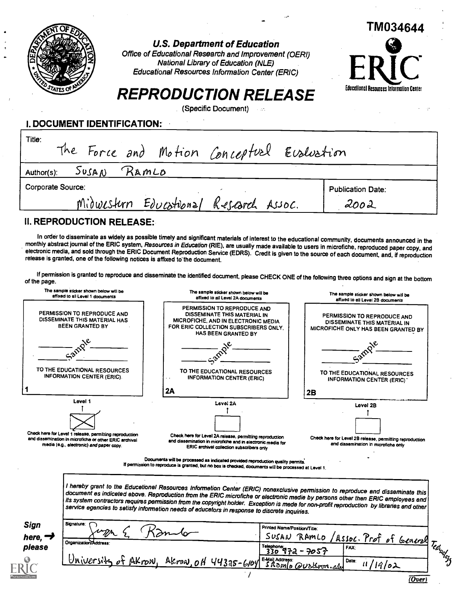

U.S. Department of Education

Office of Educational Research and Improvement (OEM) National Library of Education (NLE) Educational Resources Information Center (ERIC)



 $\overline{(Over)}$ 

# REPRODUCTION RELEASE

(Specific Document)

L DOCUMENT IDENTIFICATION:

| Title:            |       |       | The Force and Motion Conceptual Evaluation |                          |
|-------------------|-------|-------|--------------------------------------------|--------------------------|
| Author(s):        | SUSAN | RAMLO |                                            |                          |
| Corporate Source: |       |       |                                            | <b>Publication Date:</b> |
|                   |       |       | Midwestern Educational Research Assoc.     | 2002                     |
|                   |       |       |                                            |                          |

# II. REPRODUCTION RELEASE:

In order to disseminate as widely as possible timely and significant materials of interest to the educational community, documents announced in the<br>monthly abstract journal of the ERIC system, Resources in Education (RIE), release is granted, one of the following notices is affixed to the document.

If permission is granted to reproduce and disseminate the identified document, please CHECK ONE of the following three options and sign at the bottom<br>of the page.

| The sample sticker shown below will be<br>affixed to all Level 1 documents |                                                                                                                                                                          | The sample sticker shown below will be<br>affixed to all Level 2A documents                                                                                                                                                                                                                                                                                                                                      | The sample sticker shown below will be<br>affixed to ell Level 2B documents                                  |
|----------------------------------------------------------------------------|--------------------------------------------------------------------------------------------------------------------------------------------------------------------------|------------------------------------------------------------------------------------------------------------------------------------------------------------------------------------------------------------------------------------------------------------------------------------------------------------------------------------------------------------------------------------------------------------------|--------------------------------------------------------------------------------------------------------------|
|                                                                            | PERMISSION TO REPRODUCE AND<br>DISSEMINATE THIS MATERIAL HAS<br><b>BEEN GRANTED BY</b>                                                                                   | PERMISSION TO REPRODUCE AND<br>DISSEMINATE THIS MATERIAL IN<br>MICROFICHE, AND IN ELECTRONIC MEDIA<br>FOR ERIC COLLECTION SUBSCRIBERS ONLY,<br>HAS BEEN GRANTED BY                                                                                                                                                                                                                                               | PERMISSION TO REPRODUCE AND<br>DISSEMINATE THIS MATERIAL IN<br>MICROFICHE ONLY HAS BEEN GRANTED BY           |
|                                                                            |                                                                                                                                                                          |                                                                                                                                                                                                                                                                                                                                                                                                                  |                                                                                                              |
|                                                                            | TO THE EDUCATIONAL RESOURCES<br><b>INFORMATION CENTER (ERIC).</b>                                                                                                        | TO THE EDUCATIONAL RESOURCES<br><b>INFORMATION CENTER (ERIC)</b>                                                                                                                                                                                                                                                                                                                                                 | TO THE EDUCATIONAL RESOURCES<br><b>INFORMATION CENTER (ERIC)</b>                                             |
|                                                                            |                                                                                                                                                                          | 2A                                                                                                                                                                                                                                                                                                                                                                                                               | 2B                                                                                                           |
|                                                                            | Level 1<br>Check here for Level 1 release, permitting reproduction<br>and dissemination in microfiche or other ERIC archival<br>media (e.g., electronic) and paper copy. | Leval 2A<br>Check here for Level 2A release, permitting reproduction<br>and dissemination in microfiche and in electronic media for<br>ERIC archival collection subscribers only<br>Documents will be processed as indicated provided reproduction quality permits.<br>If permission to reproduce is granted, but no box is checked, documents will be processed at Level 1.                                     | Level 2B<br>Check here for Level 2B release, permitting reproduction<br>and dissemination in microfiche only |
|                                                                            |                                                                                                                                                                          | I hereby grant to the Educetionel Resources Informetion Center (ERIC) nonexclusive permission to reproduce and disseminate this<br>document es indiceted ebove. Reproduction from the ERIC microfiche or electronic medie by persons other then ERIC employees end<br>its system contractors requires permission from the copyright holder. Exception is mede for non-profit reproduction by libraries end other |                                                                                                              |
|                                                                            |                                                                                                                                                                          | service egencies to setisfy informetion needs of educetors in response to discrete inquiries.                                                                                                                                                                                                                                                                                                                    |                                                                                                              |
|                                                                            | Signature:                                                                                                                                                               | Printed Name/Position/Title:                                                                                                                                                                                                                                                                                                                                                                                     |                                                                                                              |
| Sign<br>here, $\rightarrow$<br>please                                      | Organization/Address                                                                                                                                                     |                                                                                                                                                                                                                                                                                                                                                                                                                  | SUSAN RAMLO<br>Assoc. Prof of General<br><b>H</b> Teatracture<br>Telephone<br>330 972 - 7057<br>FAX:         |